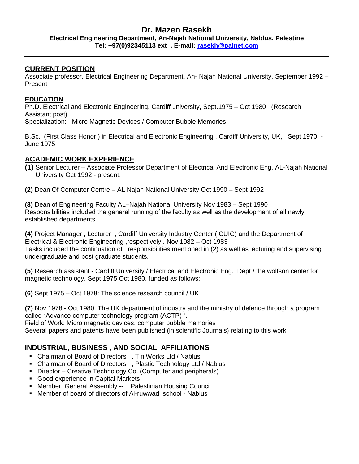### **Dr. Mazen Rasekh Electrical Engineering Department, An-Najah National University, Nablus, Palestine Tel: +97(0)92345113 ext . E-mail: [rasekh@palnet.com](mailto:rasekh@palnet.com)**

### **CURRENT POSITION**

Associate professor, Electrical Engineering Department, An- Najah National University, September 1992 – Present

### **EDUCATION**

Ph.D. Electrical and Electronic Engineering, Cardiff university, Sept.1975 – Oct 1980 (Research Assistant post) Specialization: Micro Magnetic Devices / Computer Bubble Memories

B.Sc. (First Class Honor ) in Electrical and Electronic Engineering , Cardiff University, UK, Sept 1970 - June 1975

### **ACADEMIC WORK EXPERIENCE**

- **(1)** Senior Lecturer Associate Professor Department of Electrical And Electronic Eng. AL-Najah National University Oct 1992 - present.
- **(2)** Dean Of Computer Centre AL Najah National University Oct 1990 Sept 1992

**(3)** Dean of Engineering Faculty AL–Najah National University Nov 1983 – Sept 1990 Responsibilities included the general running of the faculty as well as the development of all newly established departments

**(4)** Project Manager , Lecturer , Cardiff University Industry Center ( CUIC) and the Department of Electrical & Electronic Engineering ,respectively . Nov 1982 – Oct 1983 Tasks included the continuation of responsibilities mentioned in (2) as well as lecturing and supervising undergraduate and post graduate students.

**(5)** Research assistant - Cardiff University / Electrical and Electronic Eng. Dept / the wolfson center for magnetic technology. Sept 1975 Oct 1980, funded as follows:

**(6)** Sept 1975 – Oct 1978: The science research council / UK

**(7)** Nov 1978 - Oct 1980: The UK department of industry and the ministry of defence through a program called "Advance computer technology program (ACTP) ". Field of Work: Micro magnetic devices, computer bubble memories Several papers and patents have been published (in scientific Journals) relating to this work

# **INDUSTRIAL, BUSINESS , AND SOCIAL AFFILIATIONS**

- Chairman of Board of Directors , Tin Works Ltd / Nablus
- Chairman of Board of Directors, Plastic Technology Ltd / Nablus
- Director Creative Technology Co. (Computer and peripherals)
- Good experience in Capital Markets
- Member, General Assembly -- Palestinian Housing Council
- Member of board of directors of Al-ruwwad school Nablus